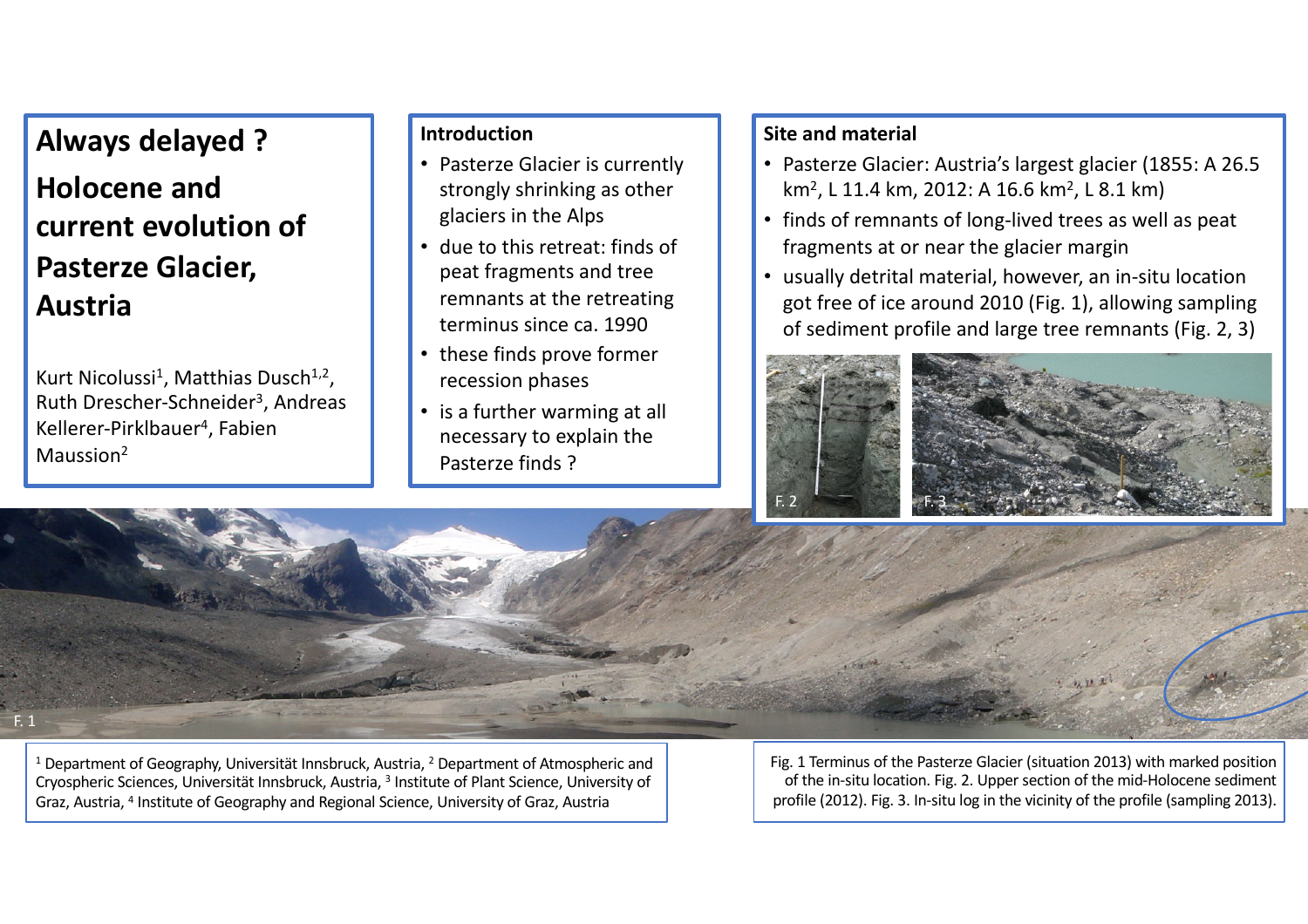### **Always delayed ?**

# **Holocene and current evolution of Pasterze Glacier, Austria**

Kurt Nicolussi<sup>1</sup>, Matthias Dusch<sup>1,2</sup>, Ruth Drescher-Schneider<sup>3</sup>, Andreas Kellerer-Pirklbauer4, Fabien Maussion2

#### **Introduction**

- Pasterze Glacier is currently strongly shrinking as other glaciers in the Alps
- due to this retreat: finds of peat fragments and tree remnants at the retreating terminus since ca. 1990
- these finds prove former recession phases
- is a further warming at all necessary to explain the Pasterze finds ?

#### **Site and material**

- Pasterze Glacier: Austria's largest glacier (1855: A 26.5 km<sup>2</sup>, L 11.4 km, 2012: A 16.6 km<sup>2</sup>, L 8.1 km)
- finds of remnants of long-lived trees as well as peat fragments at or near the glacier margin
- usually detrital material, however, an in-situ location got free of ice around 2010 (Fig. 1), allowing sampling of sediment profile and large tree remnants (Fig. 2, 3)



F. 1

<sup>1</sup> Department of Geography, Universität Innsbruck, Austria,  $2$  Department of Atmospheric and Cryospheric Sciences, Universität Innsbruck, Austria, 3 Institute of Plant Science, University of Graz, Austria, 4 Institute of Geography and Regional Science, University of Graz, Austria

Fig. 1 Terminus of the Pasterze Glacier (situation 2013) with marked position of the in-situ location. Fig. 2. Upper section of the mid-Holocene sediment profile (2012). Fig. 3. In-situ log in the vicinity of the profile (sampling 2013).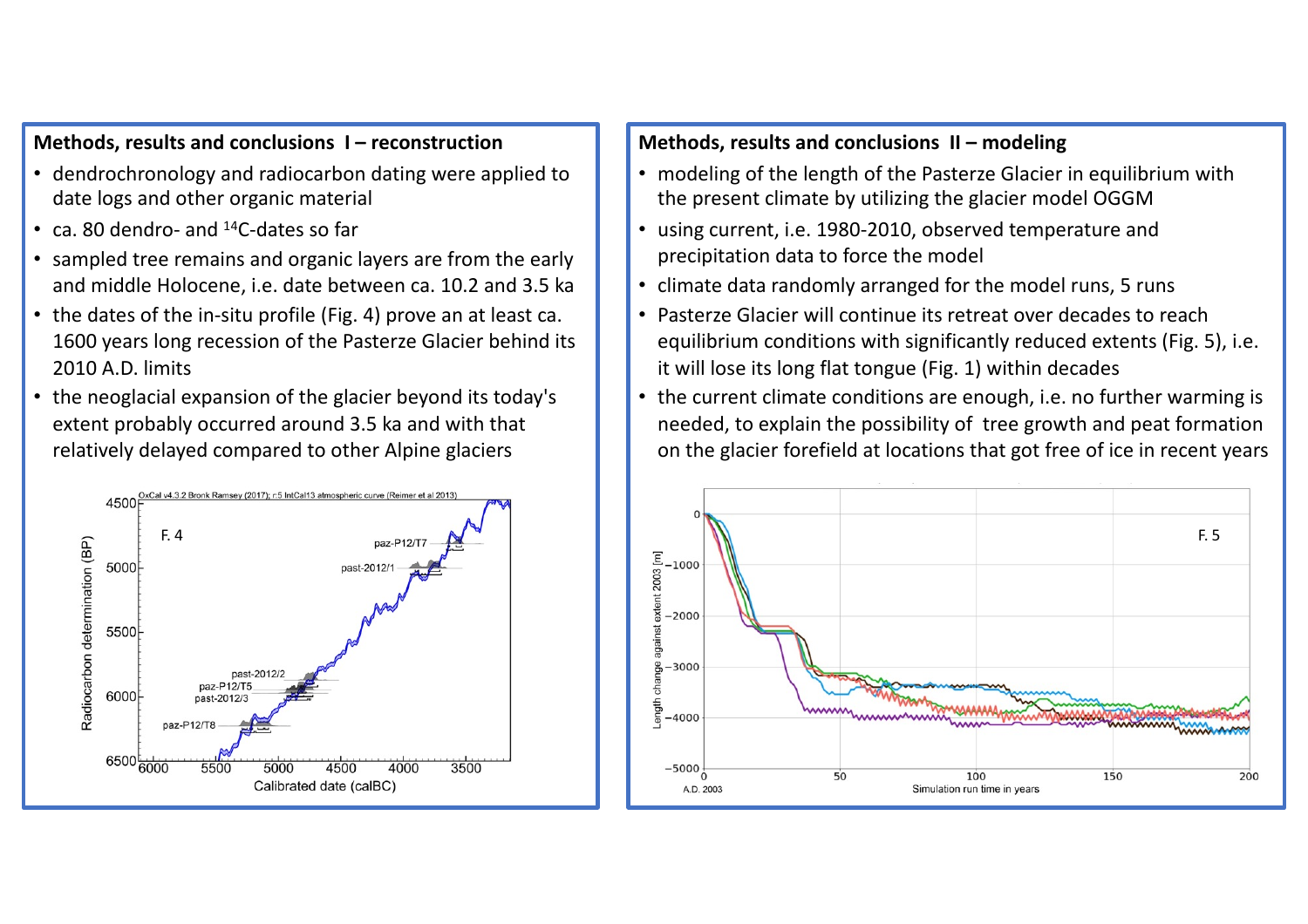#### **Methods, results and conclusions I – reconstruction**

- dendrochronology and radiocarbon dating were applied to date logs and other organic material
- ca. 80 dendro- and 14C-dates so far
- sampled tree remains and organic layers are from the early and middle Holocene, i.e. date between ca. 10.2 and 3.5 ka
- the dates of the in-situ profile (Fig. 4) prove an at least ca. 1600 years long recession of the Pasterze Glacier behind its 2010 A.D. limits
- the neoglacial expansion of the glacier beyond its today's extent probably occurred around 3.5 ka and with that relatively delayed compared to other Alpine glaciers



#### **Methods, results and conclusions II – modeling**

- modeling of the length of the Pasterze Glacier in equilibrium with the present climate by utilizing the glacier model OGGM
- using current, i.e. 1980-2010, observed temperature and precipitation data to force the model
- climate data randomly arranged for the model runs, 5 runs
- Pasterze Glacier will continue its retreat over decades to reach equilibrium conditions with significantly reduced extents (Fig. 5), i.e. it will lose its long flat tongue (Fig. 1) within decades
- the current climate conditions are enough, i.e. no further warming is needed, to explain the possibility of tree growth and peat formation on the glacier forefield at locations that got free of ice in recent years

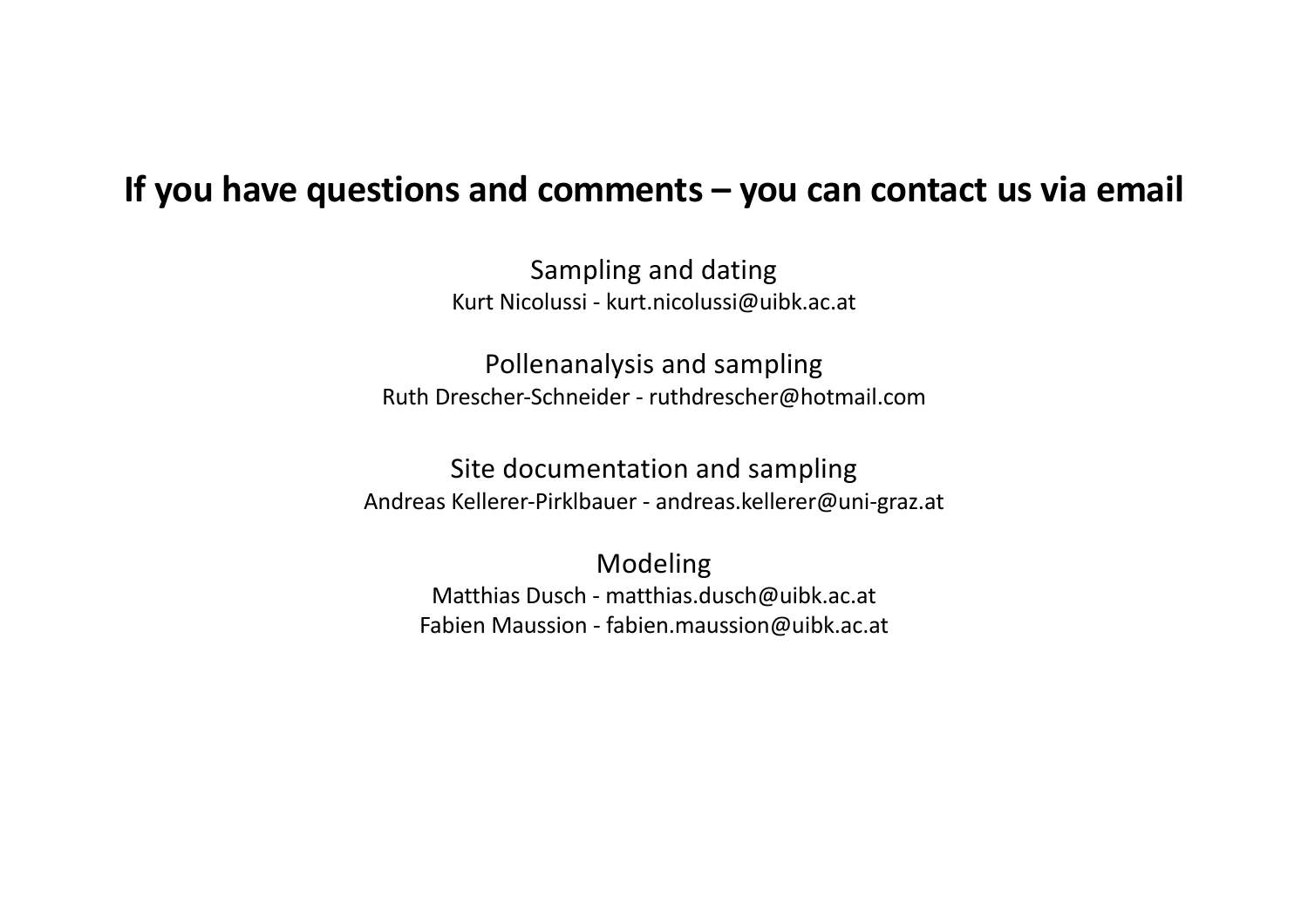## **If you have questions and comments – you can contact us via email**

Sampling and dating Kurt Nicolussi - kurt.nicolussi@uibk.ac.at

Pollenanalysis and sampling Ruth Drescher-Schneider - ruthdrescher@hotmail.com

Site documentation and sampling Andreas Kellerer-Pirklbauer - andreas.kellerer@uni-graz.at

Modeling Matthias Dusch - matthias.dusch@uibk.ac.at Fabien Maussion - fabien.maussion@uibk.ac.at